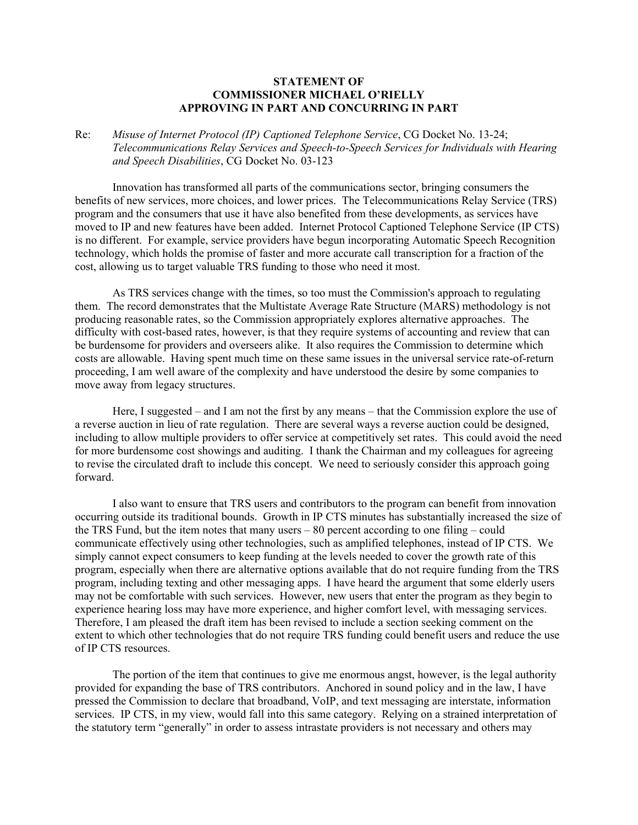## **STATEMENT OF COMMISSIONER MICHAEL O'RIELLY APPROVING IN PART AND CONCURRING IN PART**

Re: *Misuse of Internet Protocol (IP) Captioned Telephone Service*, CG Docket No. 13-24; *Telecommunications Relay Services and Speech-to-Speech Services for Individuals with Hearing and Speech Disabilities*, CG Docket No. 03-123

Innovation has transformed all parts of the communications sector, bringing consumers the benefits of new services, more choices, and lower prices. The Telecommunications Relay Service (TRS) program and the consumers that use it have also benefited from these developments, as services have moved to IP and new features have been added. Internet Protocol Captioned Telephone Service (IP CTS) is no different. For example, service providers have begun incorporating Automatic Speech Recognition technology, which holds the promise of faster and more accurate call transcription for a fraction of the cost, allowing us to target valuable TRS funding to those who need it most.

As TRS services change with the times, so too must the Commission's approach to regulating them. The record demonstrates that the Multistate Average Rate Structure (MARS) methodology is not producing reasonable rates, so the Commission appropriately explores alternative approaches. The difficulty with cost-based rates, however, is that they require systems of accounting and review that can be burdensome for providers and overseers alike. It also requires the Commission to determine which costs are allowable. Having spent much time on these same issues in the universal service rate-of-return proceeding, I am well aware of the complexity and have understood the desire by some companies to move away from legacy structures.

Here, I suggested – and I am not the first by any means – that the Commission explore the use of a reverse auction in lieu of rate regulation. There are several ways a reverse auction could be designed, including to allow multiple providers to offer service at competitively set rates. This could avoid the need for more burdensome cost showings and auditing. I thank the Chairman and my colleagues for agreeing to revise the circulated draft to include this concept. We need to seriously consider this approach going forward.

I also want to ensure that TRS users and contributors to the program can benefit from innovation occurring outside its traditional bounds. Growth in IP CTS minutes has substantially increased the size of the TRS Fund, but the item notes that many users – 80 percent according to one filing – could communicate effectively using other technologies, such as amplified telephones, instead of IP CTS. We simply cannot expect consumers to keep funding at the levels needed to cover the growth rate of this program, especially when there are alternative options available that do not require funding from the TRS program, including texting and other messaging apps. I have heard the argument that some elderly users may not be comfortable with such services. However, new users that enter the program as they begin to experience hearing loss may have more experience, and higher comfort level, with messaging services. Therefore, I am pleased the draft item has been revised to include a section seeking comment on the extent to which other technologies that do not require TRS funding could benefit users and reduce the use of IP CTS resources.

The portion of the item that continues to give me enormous angst, however, is the legal authority provided for expanding the base of TRS contributors. Anchored in sound policy and in the law, I have pressed the Commission to declare that broadband, VoIP, and text messaging are interstate, information services. IP CTS, in my view, would fall into this same category. Relying on a strained interpretation of the statutory term "generally" in order to assess intrastate providers is not necessary and others may